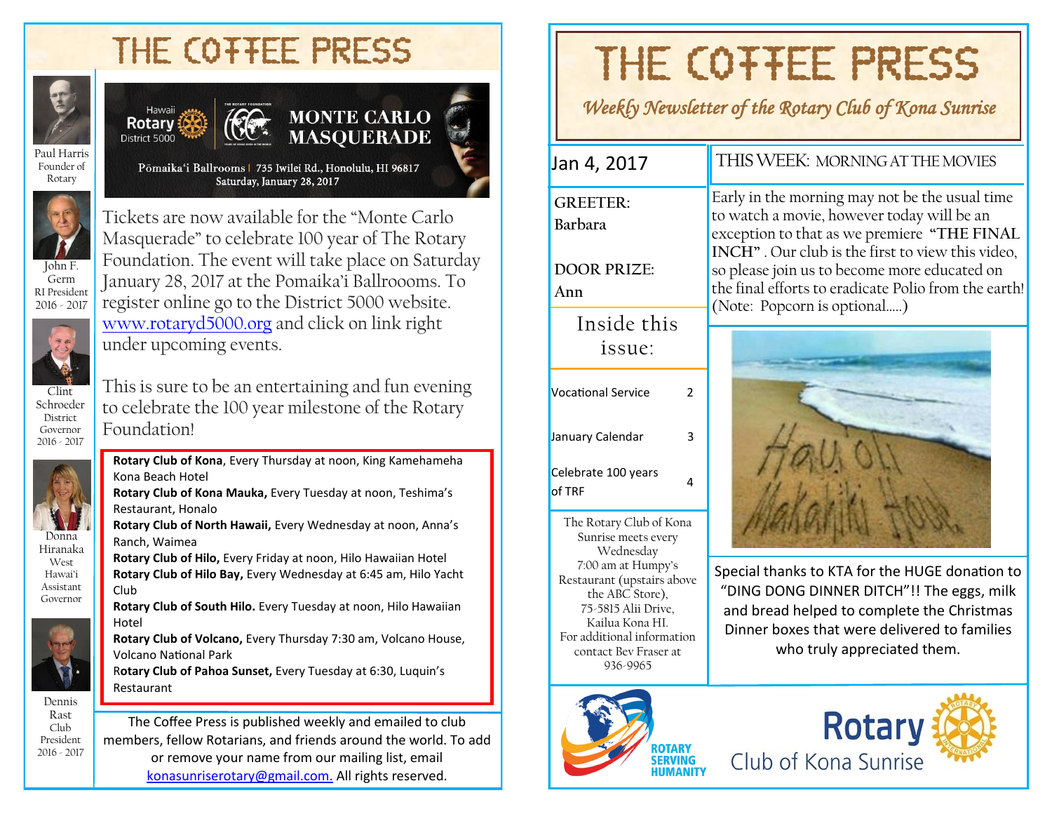## THE COTTEE PRESS



#### Hawaii **Rotary** District 5000



Pōmaika'i Ballrooms | 735 Iwilei Rd., Honolulu, HI 96817 Saturday, January 28, 2017



Germ RI President 2016 - 2017

Founder of Rotary

> Tickets are now available for the "Monte Carlo Masquerade" to celebrate 100 year of The Rotary Foundation. The event will take place on Saturday January 28, 2017 at the Pomaika'i Ballroooms. To register online go to the District 5000 website. [www.rotaryd5000.org](http://www.rotaryd5000.org) and click on link right under upcoming events.



Donna Hiranaka West Hawai'i Assistant Governor

This is sure to be an entertaining and fun evening to celebrate the 100 year milestone of the Rotary Foundation!

**Rotary Club of Kona**, Every Thursday at noon, King Kamehameha Kona Beach Hotel

**Rotary Club of Kona Mauka,** Every Tuesday at noon, Teshima's Restaurant, Honalo

**Rotary Club of North Hawaii,** Every Wednesday at noon, Anna's Ranch, Waimea

**Rotary Club of Hilo,** Every Friday at noon, Hilo Hawaiian Hotel **Rotary Club of Hilo Bay,** Every Wednesday at 6:45 am, Hilo Yacht Club

**Rotary Club of South Hilo.** Every Tuesday at noon, Hilo Hawaiian Hotel

**Rotary Club of Volcano,** Every Thursday 7:30 am, Volcano House, Volcano National Park

R**otary Club of Pahoa Sunset,** Every Tuesday at 6:30, Luquin's Restaurant

Dennis Rast Club President 2016 - 2017

The Coffee Press is published weekly and emailed to club members, fellow Rotarians, and friends around the world. To add or remove your name from our mailing list, email [konasunriserotary@gmail.com.](mailto:konasunriserotary@gmail.com.) All rights reserved.

# THE COTTEE PRESS

*Weekly Newsletter of the Rotary Club of Kona Sunrise* 

**GREETER: Barbara**

**DOOR PRIZE: Ann**

> Inside this issue:

| Vocational Service            | 2 |
|-------------------------------|---|
| January Calendar              | ₹ |
| Celebrate 100 years<br>of TRF |   |

The Rotary Club of Kona Sunrise meets every Wednesday 7:00 am at Humpy's Restaurant (upstairs above the ABC Store), 75-5815 Alii Drive, Kailua Kona HI. For additional information contact Bev Fraser at 936-9965

#### Jan 4, 2017 | THIS WEEK: MORNING AT THE MOVIES

Early in the morning may not be the usual time to watch a movie, however today will be an exception to that as we premiere **"THE FINAL INCH"** . Our club is the first to view this video, so please join us to become more educated on the final efforts to eradicate Polio from the earth! (Note: Popcorn is optional…..)



Special thanks to KTA for the HUGE donation to "DING DONG DINNER DITCH"!! The eggs, milk and bread helped to complete the Christmas Dinner boxes that were delivered to families who truly appreciated them.